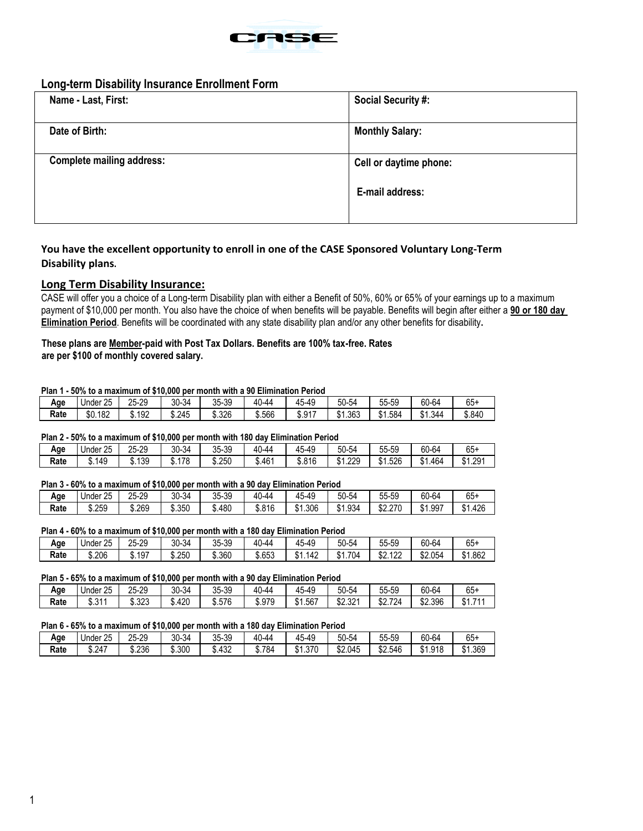

# **Long-term Disability Insurance Enrollment Form**

| Name - Last, First:              | <b>Social Security #:</b> |
|----------------------------------|---------------------------|
| Date of Birth:                   | <b>Monthly Salary:</b>    |
| <b>Complete mailing address:</b> | Cell or daytime phone:    |
|                                  | E-mail address:           |

# **You have the excellent opportunity to enroll in one of the CASE Sponsored Voluntary Long‐Term Disability plans.**

## **Long Term Disability Insurance:**

CASE will offer you a choice of a Long-term Disability plan with either a Benefit of 50%, 60% or 65% of your earnings up to a maximum payment of \$10,000 per month. You also have the choice of when benefits will be payable. Benefits will begin after either a **90 or 180 day Elimination Period**. Benefits will be coordinated with any state disability plan and/or any other benefits for disability**.**

# **These plans are Member-paid with Post Tax Dollars. Benefits are 100% tax-free. Rates**

**are per \$100 of monthly covered salary.**

## **Plan 1 - 50% to a maximum of \$10,000 per month with a 90 Elimination Period**

| ------- |          |        |        |        |        |                                   |                            |                        |        |               |
|---------|----------|--------|--------|--------|--------|-----------------------------------|----------------------------|------------------------|--------|---------------|
| Age     | Under 25 | 25-29  | 30-34  | 35-39  | 40-44  | $\epsilon$<br>ร-49<br>$7 -$<br>ຯບ | 50-54                      | e e<br>$-$<br>55-59    | 60-64  | $\sim$<br>65+ |
| Rate    | \$0.182  | \$.192 | \$.245 | \$.326 | \$.566 | <b>¢ 017</b><br>. ו כ…ט           | 1.363<br>$^{\sim}$<br>. აი | 1.584<br>$\sim$<br>ונס | 1.344ه | \$.840        |

#### **Plan 2 - 50% to a maximum of \$10,000 per month with 180 day Elimination Period**

| --------- |          |        |        |        |        |             |       |                    |         |         |
|-----------|----------|--------|--------|--------|--------|-------------|-------|--------------------|---------|---------|
| Age       | Under 25 | 25-29  | 30-34  | 35-39  | 40-44  | 45-49<br>45 | 50-54 | r.<br>55-59        | 60-64   | $65+$   |
| Rate      | \$.149   | \$.139 | \$.178 | \$.250 | \$.46' | \$.816      | 1.229 | 1.526<br>AA<br>J.' | \$1.464 | \$1.291 |

## **Plan 3 - 60% to a maximum of \$10,000 per month with a 90 day Elimination Period**

| Aqe  | つに<br>Under<br>້∠ປ | 25-29  | $30 -$<br>$-34$ | 35-39  | $\ddot{\phantom{1}}$<br>40<br>1-44 | . .<br>49-د<br>$7 -$<br>πυ | $\sim$ $\sim$ $\sim$ $\sim$<br>50-54 | --<br>$\overline{c}$<br>55-59 | 60-64   | $\sim$<br>65+     |
|------|--------------------|--------|-----------------|--------|------------------------------------|----------------------------|--------------------------------------|-------------------------------|---------|-------------------|
| Rate | \$.259             | \$.269 | 350<br>⊍∪ບ.     | \$.480 | \$.816                             | .306<br>ሖ<br>۰D.           | .934<br>ሖ<br>۵.                      | 270<br>ሶሳ<br>DZ.Z.            | \$1.997 | .426<br>₼ ⊿<br>J. |

## **Plan 4 - 60% to a maximum of \$10,000 per month with a 180 day Elimination Period**

| Age  | Jnder 25 | 25-29  | 30-34  | 35-39  | AC<br>44-ں, | $\sim$<br>49-ر<br>4 /∣<br>᠇౮ | $50 -$<br>$\sim$<br>-54 | 55-59                   | 60-64   | $\sim$<br>65+             |
|------|----------|--------|--------|--------|-------------|------------------------------|-------------------------|-------------------------|---------|---------------------------|
| Rate | \$.206   | \$.197 | \$.250 | \$.360 | \$.653      | 142<br>Λ.<br>. ا 30          | \$1.704                 | 100<br>ሶሳ<br>٤٤٤<br>DZ. | \$2.054 | \$1.862<br>$^{\tiny{AA}}$ |

#### **Plan 5 - 65% to a maximum of \$10,000 per month with a 90 day Elimination Period**

| Age  | つに<br>Under<br>∠∪ | 25-29  | 30-34  | 35-39  | $\sim$<br>-44-ل.<br>⁄I I | $\overline{\phantom{0}}$<br>49-ر | 50-54              | 55-59              | 60-64   | $\sim$<br>65+            |
|------|-------------------|--------|--------|--------|--------------------------|----------------------------------|--------------------|--------------------|---------|--------------------------|
| Rate | 244<br>. ا ل. ك   | \$.323 | \$.420 | \$.576 | \$.979                   | \$1.567                          | ሶሳ<br>221<br>JZ.JZ | ¢٨<br>724<br>JZ.IZ | \$2.396 | 74.<br>$^{\sim}$<br>ינה. |

#### **Plan 6 - 65% to a maximum of \$10,000 per month with a 180 day Elimination Period**

| -------- | ----               |        |        | .      | -----                     |                                |         |               |         |                       |
|----------|--------------------|--------|--------|--------|---------------------------|--------------------------------|---------|---------------|---------|-----------------------|
| Age      | ባፍ<br>Under<br>2 J | 25-29  | 30-34  | 35-39  | $\sqrt{2}$<br>ገ-44<br>ּשׁ | $\sim$<br>49-د<br>∕   ∽<br>. U | 50-54   | 55-59         | 60-64   | $\sim$<br>65+         |
| Rate     | \$.247             | \$.236 | \$.300 | \$.432 | 784<br>ա0.ւ               | 1.370<br>ـ ـ<br>ו כ            | \$2.045 | ሖሳ<br>\$2.546 | \$1.918 | $^{\star}$<br>\$1.369 |